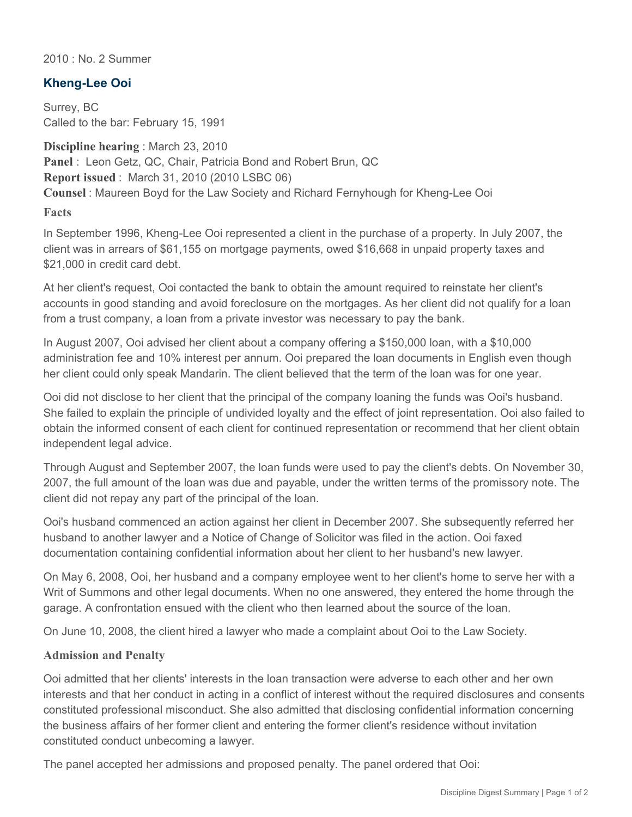2010 : No. 2 Summer

## **Kheng-Lee Ooi**

Surrey, BC Called to the bar: February 15, 1991

**Discipline hearing** : March 23, 2010 **Panel** : Leon Getz, QC, Chair, Patricia Bond and Robert Brun, QC **Report issued** : March 31, 2010 (2010 LSBC 06) **Counsel** : Maureen Boyd for the Law Society and Richard Fernyhough for Kheng-Lee Ooi

**Facts**

In September 1996, Kheng-Lee Ooi represented a client in the purchase of a property. In July 2007, the client was in arrears of \$61,155 on mortgage payments, owed \$16,668 in unpaid property taxes and \$21,000 in credit card debt.

At her client's request, Ooi contacted the bank to obtain the amount required to reinstate her client's accounts in good standing and avoid foreclosure on the mortgages. As her client did not qualify for a loan from a trust company, a loan from a private investor was necessary to pay the bank.

In August 2007, Ooi advised her client about a company offering a \$150,000 loan, with a \$10,000 administration fee and 10% interest per annum. Ooi prepared the loan documents in English even though her client could only speak Mandarin. The client believed that the term of the loan was for one year.

Ooi did not disclose to her client that the principal of the company loaning the funds was Ooi's husband. She failed to explain the principle of undivided loyalty and the effect of joint representation. Ooi also failed to obtain the informed consent of each client for continued representation or recommend that her client obtain independent legal advice.

Through August and September 2007, the loan funds were used to pay the client's debts. On November 30, 2007, the full amount of the loan was due and payable, under the written terms of the promissory note. The client did not repay any part of the principal of the loan.

Ooi's husband commenced an action against her client in December 2007. She subsequently referred her husband to another lawyer and a Notice of Change of Solicitor was filed in the action. Ooi faxed documentation containing confidential information about her client to her husband's new lawyer.

On May 6, 2008, Ooi, her husband and a company employee went to her client's home to serve her with a Writ of Summons and other legal documents. When no one answered, they entered the home through the garage. A confrontation ensued with the client who then learned about the source of the loan.

On June 10, 2008, the client hired a lawyer who made a complaint about Ooi to the Law Society.

## **Admission and Penalty**

Ooi admitted that her clients' interests in the loan transaction were adverse to each other and her own interests and that her conduct in acting in a conflict of interest without the required disclosures and consents constituted professional misconduct. She also admitted that disclosing confidential information concerning the business affairs of her former client and entering the former client's residence without invitation constituted conduct unbecoming a lawyer.

The panel accepted her admissions and proposed penalty. The panel ordered that Ooi: